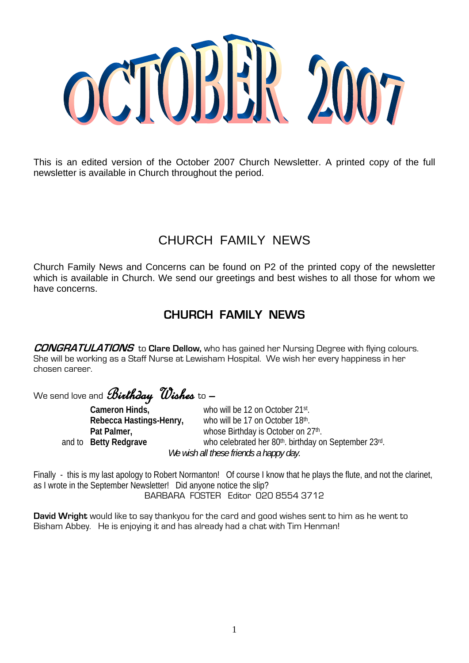

This is an edited version of the October 2007 Church Newsletter. A printed copy of the full newsletter is available in Church throughout the period.

# CHURCH FAMILY NEWS

Church Family News and Concerns can be found on P2 of the printed copy of the newsletter which is available in Church. We send our greetings and best wishes to all those for whom we have concerns.

# **CHURCH FAMILY NEWS**

**CONGRATULATIONS** to **Clare Dellow,** who has gained her Nursing Degree with flying colours. She will be working as a Staff Nurse at Lewisham Hospital. We wish her every happiness in her chosen career.

We send love and **Birthday Wishes** to  $-$  Cameron Hinds.

who will be 12 on October 21st. **Rebecca Hastings-Henry,** who will be 17 on October 18th. Pat Palmer, **Pat Palmer, Pat Palmer, Pat Palmer**, **Pat Palmer**, **Parameter Parameter Parameter Parameter Parameter Parameter Parameter Parameter Parameter Parameter Parameter Parameter Parameter** and to **Betty Redgrave who celebrated her 80th. birthday on September 23rd.** *We wish all these friends a happy day.* 

Finally - this is my last apology to Robert Normanton! Of course I know that he plays the flute, and not the clarinet, as I wrote in the September Newsletter! Did anyone notice the slip? BARBARA FOSTER Editor 020 8554 3712

**David Wright** would like to say thankyou for the card and good wishes sent to him as he went to Bisham Abbey. He is enjoying it and has already had a chat with Tim Henman!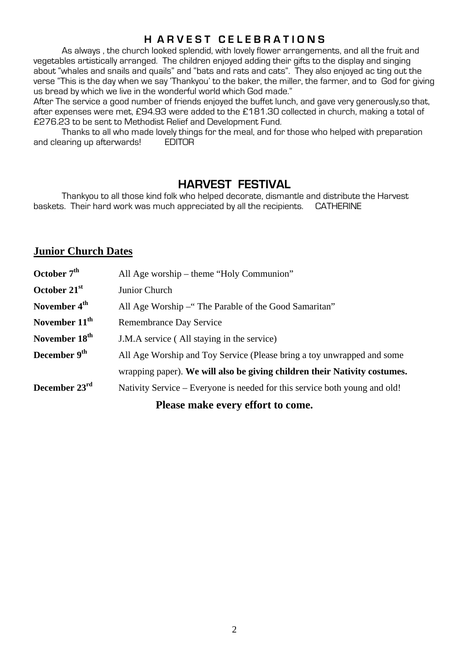# **H A R V E S T C E L E B R A T I O N S**

 As always , the church looked splendid, with lovely flower arrangements, and all the fruit and vegetables artistically arranged. The children enjoyed adding their gifts to the display and singing about "whales and snails and quails" and "bats and rats and cats". They also enjoyed ac ting out the verse "This is the day when we say 'Thankyou' to the baker, the miller, the farmer, and to God for giving us bread by which we live in the wonderful world which God made."

After The service a good number of friends enjoyed the buffet lunch, and gave very generously,so that, after expenses were met, £94.93 were added to the £181.30 collected in church, making a total of £276.23 to be sent to Methodist Relief and Development Fund.

 Thanks to all who made lovely things for the meal, and for those who helped with preparation and clearing up afterwards! EDITOR

# **HARVEST FESTIVAL**

 Thankyou to all those kind folk who helped decorate, dismantle and distribute the Harvest baskets. Their hard work was much appreciated by all the recipients. CATHERINE

# **Junior Church Dates**

| October 7 <sup>th</sup>   | All Age worship – theme "Holy Communion"                                   |  |  |
|---------------------------|----------------------------------------------------------------------------|--|--|
| October 21st              | Junior Church                                                              |  |  |
| November 4 <sup>th</sup>  | All Age Worship – "The Parable of the Good Samaritan"                      |  |  |
| November 11 <sup>th</sup> | Remembrance Day Service                                                    |  |  |
| November 18 <sup>th</sup> | J.M.A service (All staying in the service)                                 |  |  |
| December 9 <sup>th</sup>  | All Age Worship and Toy Service (Please bring a toy unwrapped and some     |  |  |
|                           | wrapping paper). We will also be giving children their Nativity costumes.  |  |  |
| December 23rd             | Nativity Service – Everyone is needed for this service both young and old! |  |  |
|                           |                                                                            |  |  |

**Please make every effort to come.**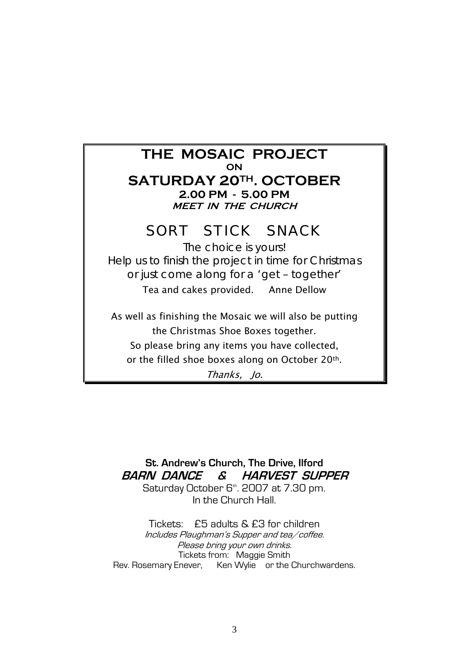| THE MOSAIC PROJECT<br>ON<br><b>SATURDAY 20TH. OCTOBER</b><br>2.00 PM - 5.00 PM<br><b>MEET IN THE CHURCH</b> |
|-------------------------------------------------------------------------------------------------------------|
| SORT STICK SNACK<br>The choice is yours!                                                                    |
| Help us to finish the project in time for Christmas                                                         |
| or just come along for a 'get - together'                                                                   |
|                                                                                                             |
| Tea and cakes provided. Anne Dellow                                                                         |
| As well as finishing the Mosaic we will also be putting<br>the Christmas Shoe Boxes together.               |
| So please bring any items you have collected,                                                               |
| or the filled shoe boxes along on October 20 <sup>th</sup> .                                                |
| Thanks, Jo.                                                                                                 |

**St. Andrew's Church, The Drive, Ilford BARN DANCE & HARVEST SUPPER**

Saturday October 6<sup>th</sup>. 2007 at 7.30 pm. In the Church Hall.

Tickets: £5 adults & £3 for children Includes Plaughman's Supper and tea/coffee. Please bring your own drinks. Tickets from: Maggie Smith Rev. Rosemary Enever, Ken Wylie or the Churchwardens.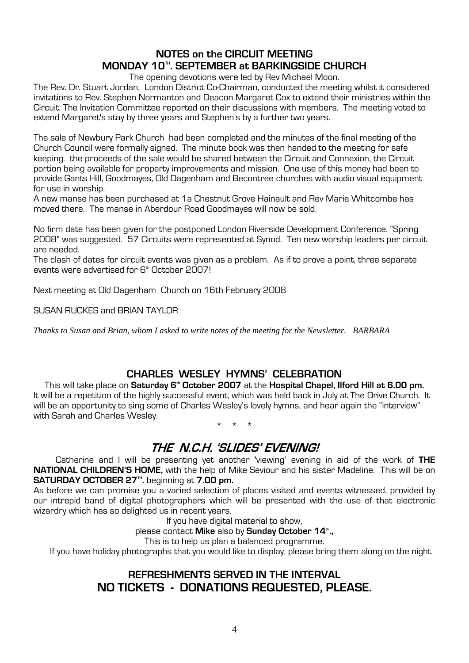# **NOTES on the CIRCUIT MEETING MONDAY 10TH. SEPTEMBER at BARKINGSIDE CHURCH**

The opening devotions were led by Rev Michael Moon.

The Rev. Dr. Stuart Jordan, London District Co-Chairman, conducted the meeting whilst it considered invitations to Rev. Stephen Normanton and Deacon Margaret Cox to extend their ministries within the Circuit. The Invitation Committee reported on their discussions with members. The meeting voted to extend Margaret's stay by three years and Stephen's by a further two years.

The sale of Newbury Park Church had been completed and the minutes of the final meeting of the Church Council were formally signed. The minute book was then handed to the meeting for safe keeping. the proceeds of the sale would be shared between the Circuit and Connexion, the Circuit portion being available for property improvements and mission. One use of this money had been to provide Gants Hill, Goodmayes, Old Dagenham and Becontree churches with audio visual equipment for use in worship.

A new manse has been purchased at 1a Chestnut Grove Hainault and Rev Marie Whitcombe has moved there. The manse in Aberdour Road Goodmayes will now be sold.

No firm date has been given for the postponed London Riverside Development Conference. "Spring 2008" was suggested. 57 Circuits were represented at Synod. Ten new worship leaders per circuit are needed.

The clash of dates for circuit events was given as a problem. As if to prove a point, three separate events were advertised for 6<sup>th</sup> October 2007!

Next meeting at Old Dagenham Church on 16th February 2008

SUSAN RUCKES and BRIAN TAYLOR

*Thanks to Susan and Brian, whom I asked to write notes of the meeting for the Newsletter. BARBARA* 

# **CHARLES WESLEY HYMNS' CELEBRATION**

This will take place on **Saturday 6<sup>th</sup> October 2007** at the **Hospital Chapel, Ilford Hill at 6.00 pm.** It will be a repetition of the highly successful event, which was held back in July at The Drive Church. It will be an opportunity to sing some of Charles Wesley's lovely hymns, and hear again the "interview" with Sarah and Charles Wesley.

\* \* \*

# **THE N.C.H. 'SLIDES' EVENING!**

 Catherine and I will be presenting yet another **'**viewing' evening in aid of the work of **THE NATIONAL CHILDREN'S HOME,** with the help of Mike Seviour and his sister Madeline. This will be on **SATURDAY OCTOBER 27<sup>m</sup>. beginning at <b>7.00 pm.** 

As before we can promise you a varied selection of places visited and events witnessed, provided by our intrepid band of digital photographers which will be presented with the use of that electronic wizardry which has so delighted us in recent years.

If you have digital material to show,

please contact Mike also by Sunday October 14<sup>th</sup>.,

This is to help us plan a balanced programme.

If you have holiday photographs that you would like to display, please bring them along on the night.

# **REFRESHMENTS SERVED IN THE INTERVAL NO TICKETS - DONATIONS REQUESTED, PLEASE.**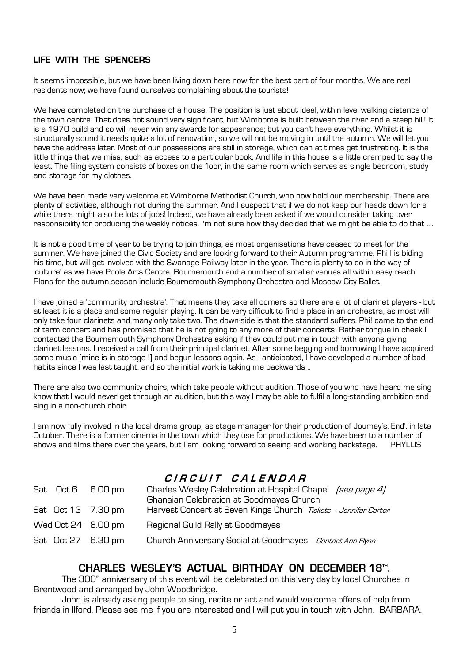### **LIFE WITH THE SPENCERS**

It seems impossible, but we have been living down here now for the best part of four months. We are real residents now; we have found ourselves complaining about the tourists!

We have completed on the purchase of a house. The position is just about ideal, within level walking distance of the town centre. That does not sound very significant, but Wimbome is built between the river and a steep hill! It is a 1970 build and so will never win any awards for appearance; but you can't have everything. Whilst it is structurally sound it needs quite a lot of renovation, so we will not be moving in until the autumn. We will let you have the address later. Most of our possessions are still in storage, which can at times get frustrating. It is the little things that we miss, such as access to a particular book. And life in this house is a little cramped to say the least. The filing system consists of boxes on the floor, in the same room which serves as single bedroom, study and storage for my clothes.

We have been made very welcome at Wimborne Methodist Church, who now hold our membership. There are plenty of activities, although not during the summer. And I suspect that if we do not keep our heads down for a while there might also be lots of jobs! Indeed, we have already been asked if we would consider taking over responsibility for producing the weekly notices. I'm not sure how they decided that we might be able to do that ....

It is not a good time of year to be trying to join things, as most organisations have ceased to meet for the sumlner. We have joined the Civic Society and are looking forward to their Autumn programme. Phi I is biding his time, but will get involved with the Swanage Railway later in the year. There is plenty to do in the way of 'culture' as we have Poole Arts Centre, Bournemouth and a number of smaller venues all within easy reach. Plans for the autumn season include Bournemouth Symphony Orchestra and Moscow City Ballet.

I have joined a 'community orchestra'. That means they take all comers so there are a lot of clarinet players - but at least it is a place and some regular playing. It can be very difficult to find a place in an orchestra, as most will only take four clarinets and many only take two. The down-side is that the standard suffers. Phi! came to the end of term concert and has promised that he is not going to any more of their concerts! Rather tongue in cheek I contacted the Bournemouth Symphony Orchestra asking if they could put me in touch with anyone giving clarinet lessons. I received a call from their principal clarinet. After some begging and borrowing I have acquired some music [mine is in storage !] and begun lessons again. As I anticipated, I have developed a number of bad habits since I was last taught, and so the initial work is taking me backwards ..

There are also two community choirs, which take people without audition. Those of you who have heard me sing know that I would never get through an audition, but this way I may be able to fulfil a long-standing ambition and sing in a non-church choir.

I am now fully involved in the local drama group, as stage manager for their production of Joumey's. End'. in late October. There is a former cinema in the town which they use for productions. We have been to a number of shows and films there over the years, but I am looking forward to seeing and working backstage. PHYLLIS

# **C I R C U I T C A L E N D A R**

| Sat Oct 6 6.00 pm  | Charles Wesley Celebration at Hospital Chapel (see page 4)<br><b>Ghanaian Celebration at Goodmayes Church</b> |
|--------------------|---------------------------------------------------------------------------------------------------------------|
| Sat Oct 13 7.30 pm | Harvest Concert at Seven Kings Church Tickets - Jennifer Carter                                               |
| Wed Oct 24 8.00 pm | Regional Guild Rally at Goodmayes                                                                             |
| Sat Oct 27 6.30 pm | Church Anniversary Social at Goodmayes - Contact Ann Flynn                                                    |

### **CHARLES WESLEY'S ACTUAL BIRTHDAY ON DECEMBER 18TH .**

The 300<sup>th</sup> anniversary of this event will be celebrated on this very day by local Churches in Brentwood and arranged by John Woodbridge.

 John is already asking people to sing, recite or act and would welcome offers of help from friends in Ilford. Please see me if you are interested and I will put you in touch with John. BARBARA.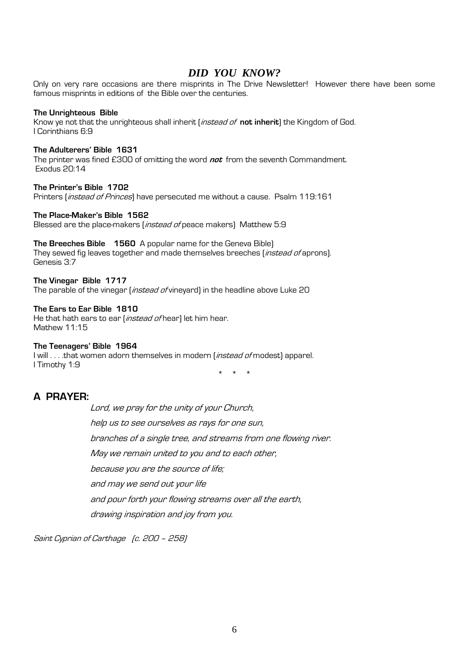### *DID YOU KNOW?*

Only on very rare occasions are there misprints in The Drive Newsletter! However there have been some famous misprints in editions of the Bible over the centuries.

#### **The Unrighteous Bible**

Know ye not that the unrighteous shall inherit (instead of **not inherit**) the Kingdom of God. I Corinthians 6:9

#### **The Adulterers' Bible 1631**

The printer was fined £300 of omitting the word **not** from the seventh Commandment. Exodus 20:14

### **The Printer's Bible 1702**

Printers (*instead of Princes*) have persecuted me without a cause. Psalm 119:161

### **The Place-Maker's Bible 1562**

Blessed are the place-makers (instead of peace makers) Matthew 5:9

**The Breeches Bible 1560** A popular name for the Geneva Bible) They sewed fig leaves together and made themselves breeches (*instead of* aprons). Genesis 3:7

### **The Vinegar Bible 1717**

The parable of the vinegar (*instead of* vineyard) in the headline above Luke 20

#### **The Ears to Ear Bible 1810**

He that hath ears to ear (*instead of* hear) let him hear. Mathew 11:15

### **The Teenagers' Bible 1964**

I will . . . .that women adorn themselves in modern (*instead of* modest) apparel. I Timothy 1:9

\* \* \*

### **A PRAYER:**

 Lord, we pray for the unity of your Church, help us to see ourselves as rays for one sun, branches of a single tree, and streams from one flowing river. May we remain united to you and to each other, because you are the source of life; and may we send out your life and pour forth your flowing streams over all the earth, drawing inspiration and joy from you.

Saint Cyprian of Carthage (c. 200 – 258)